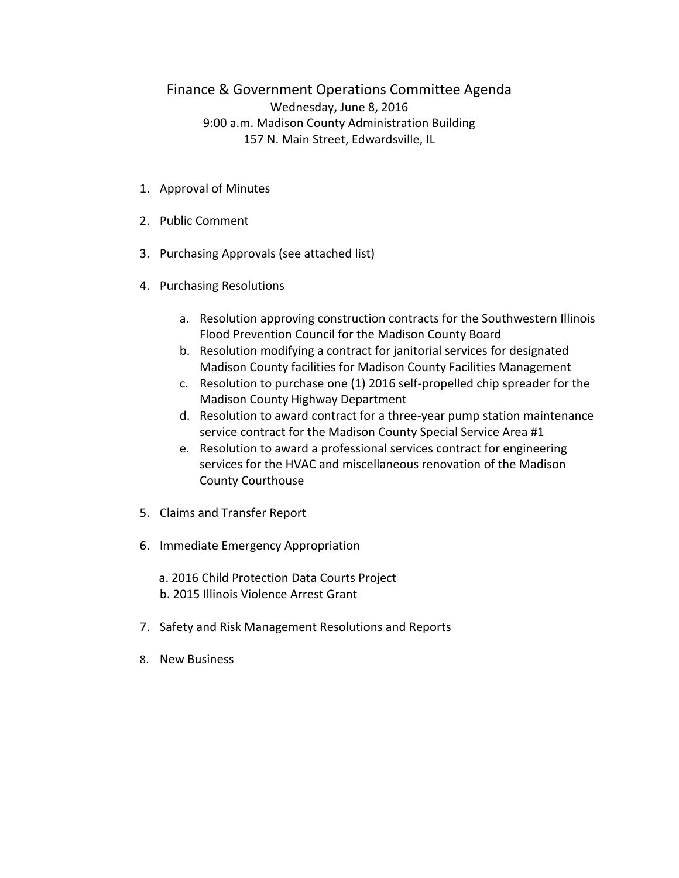## Finance & Government Operations Committee Agenda Wednesday, June 8, 2016 9:00 a.m. Madison County Administration Building 157 N. Main Street, Edwardsville, IL

- 1. Approval of Minutes
- 2. Public Comment
- 3. Purchasing Approvals (see attached list)
- 4. Purchasing Resolutions
	- a. Resolution approving construction contracts for the Southwestern Illinois Flood Prevention Council for the Madison County Board
	- b. Resolution modifying a contract for janitorial services for designated Madison County facilities for Madison County Facilities Management
	- c. Resolution to purchase one (1) 2016 self-propelled chip spreader for the Madison County Highway Department
	- d. Resolution to award contract for a three-year pump station maintenance service contract for the Madison County Special Service Area #1
	- e. Resolution to award a professional services contract for engineering services for the HVAC and miscellaneous renovation of the Madison County Courthouse
- 5. Claims and Transfer Report
- 6. Immediate Emergency Appropriation
	- a. 2016 Child Protection Data Courts Project b. 2015 Illinois Violence Arrest Grant
- 7. Safety and Risk Management Resolutions and Reports
- 8. New Business